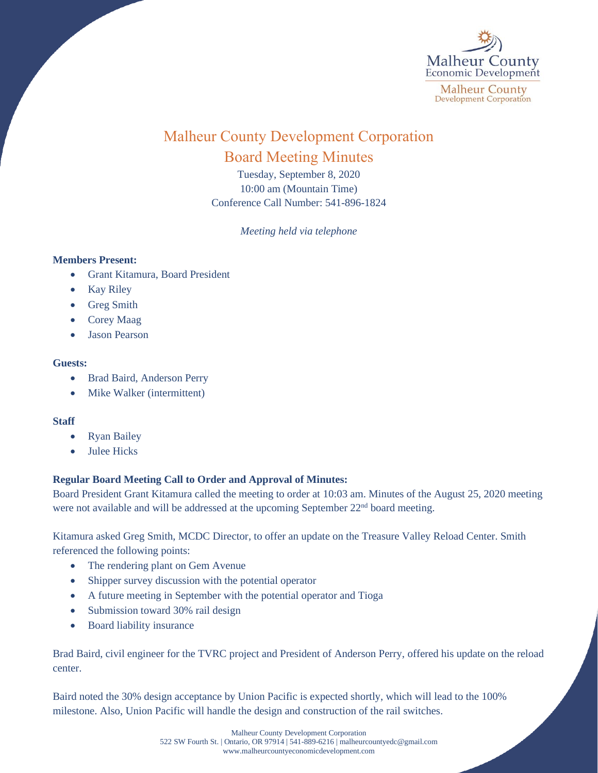

# Malheur County Development Corporation Board Meeting Minutes

Tuesday, September 8, 2020 10:00 am (Mountain Time) Conference Call Number: 541-896-1824

*Meeting held via telephone*

### **Members Present:**

- Grant Kitamura, Board President
- Kay Riley
- Greg Smith
- Corey Maag
- Jason Pearson

#### **Guests:**

- Brad Baird, Anderson Perry
- Mike Walker (intermittent)

#### **Staff**

- Ryan Bailey
- **Julee Hicks**

## **Regular Board Meeting Call to Order and Approval of Minutes:**

Board President Grant Kitamura called the meeting to order at 10:03 am. Minutes of the August 25, 2020 meeting were not available and will be addressed at the upcoming September 22<sup>nd</sup> board meeting.

Kitamura asked Greg Smith, MCDC Director, to offer an update on the Treasure Valley Reload Center. Smith referenced the following points:

- The rendering plant on Gem Avenue
- Shipper survey discussion with the potential operator
- A future meeting in September with the potential operator and Tioga
- Submission toward 30% rail design
- Board liability insurance

Brad Baird, civil engineer for the TVRC project and President of Anderson Perry, offered his update on the reload center.

Baird noted the 30% design acceptance by Union Pacific is expected shortly, which will lead to the 100% milestone. Also, Union Pacific will handle the design and construction of the rail switches.